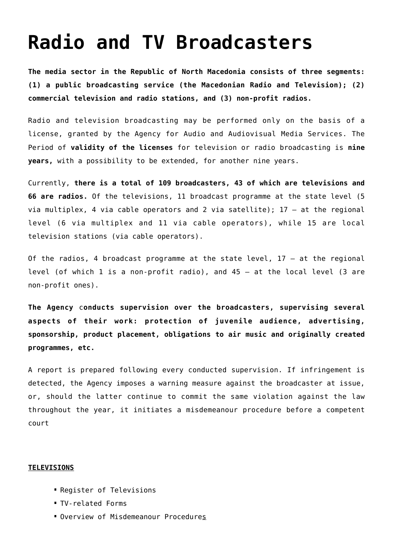## **[Radio and TV Broadcasters](https://avmu.mk/en/broadcasters/)**

**The media sector in the Republic of North Macedonia consists of three segments: (1) a public broadcasting service (the Macedonian Radio and Television); (2) commercial television and radio stations, and (3) non-profit radios.**

Radio and television broadcasting may be performed only on the basis of a license, granted by the Agency for Audio and Audiovisual Media Services. The Period of **validity of the licenses** for television or radio broadcasting is **nine years,** with a possibility to be extended, for another nine years.

Currently, **there is a total of 109 broadcasters, 43 of which are televisions and 66 are radios.** Of the televisions, 11 broadcast programme at the state level (5 via multiplex, 4 via cable operators and 2 via satellite); 17 – at the regional level (6 via multiplex and 11 via cable operators), while 15 are local television stations (via cable operators).

Of the radios, 4 broadcast programme at the state level,  $17 - at$  the regional level (of which 1 is a non-profit radio), and 45 – at the local level (3 are non-profit ones).

**The Agency** c**onducts supervision over the broadcasters, supervising several aspects of their work: protection of juvenile audience, advertising, sponsorship, product placement, obligations to air music and originally created programmes, etc.**

A report is prepared following every conducted supervision. If infringement is detected, the Agency imposes a warning measure against the broadcaster at issue, or, should the latter continue to commit the same violation against the law throughout the year, it initiates a misdemeanour procedure before a competent court

## **TELEVISIONS**

- **[Register of Televisions](https://avmu.mk/wp-content/uploads/2022/07/ENGL-updated-Registar-na-TV-ENG-04.07.2022.xls)**
- [TV-related Forms](http://avmu.mk/en/forms-for-providers/)
- **[Overview of Misdemeanour Procedures](http://avmu.mk/en/overview-of-misdemeanour-procedures/)**